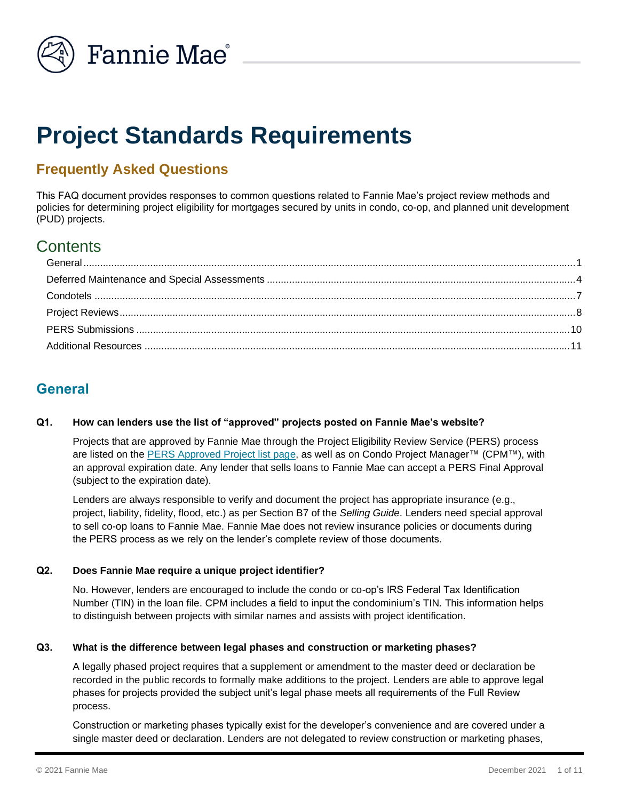

# **Project Standards Requirements**

# **Frequently Asked Questions**

This FAQ document provides responses to common questions related to Fannie Mae's project review methods and policies for determining project eligibility for mortgages secured by units in condo, co-op, and planned unit development (PUD) projects.

# **Contents**

# <span id="page-0-0"></span>**General**

## **Q1. How can lenders use the list of "approved" projects posted on Fannie Mae's website?**

Projects that are approved by Fannie Mae through the Project Eligibility Review Service (PERS) process are listed on the [PERS Approved Project list](https://www.fanniemae.com/singlefamily/project-eligibility-review-service) page, as well as on Condo Project Manager™ (CPM™), with an approval expiration date. Any lender that sells loans to Fannie Mae can accept a PERS Final Approval (subject to the expiration date).

Lenders are always responsible to verify and document the project has appropriate insurance (e.g., project, liability, fidelity, flood, etc.) as per Section B7 of the *Selling Guide*. Lenders need special approval to sell co-op loans to Fannie Mae. Fannie Mae does not review insurance policies or documents during the PERS process as we rely on the lender's complete review of those documents.

## **Q2. Does Fannie Mae require a unique project identifier?**

No. However, lenders are encouraged to include the condo or co-op's IRS Federal Tax Identification Number (TIN) in the loan file. CPM includes a field to input the condominium's TIN. This information helps to distinguish between projects with similar names and assists with project identification.

#### **Q3. What is the difference between legal phases and construction or marketing phases?**

A legally phased project requires that a supplement or amendment to the master deed or declaration be recorded in the public records to formally make additions to the project. Lenders are able to approve legal phases for projects provided the subject unit's legal phase meets all requirements of the Full Review process.

Construction or marketing phases typically exist for the developer's convenience and are covered under a single master deed or declaration. Lenders are not delegated to review construction or marketing phases,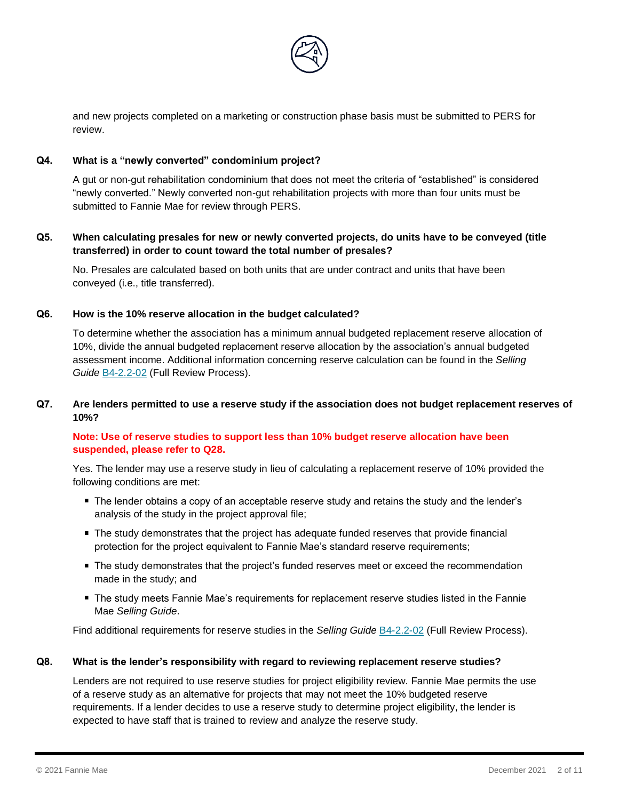

and new projects completed on a marketing or construction phase basis must be submitted to PERS for review.

### **Q4. What is a "newly converted" condominium project?**

A gut or non-gut rehabilitation condominium that does not meet the criteria of "established" is considered "newly converted." Newly converted non-gut rehabilitation projects with more than four units must be submitted to Fannie Mae for review through PERS.

#### **Q5. When calculating presales for new or newly converted projects, do units have to be conveyed (title transferred) in order to count toward the total number of presales?**

No. Presales are calculated based on both units that are under contract and units that have been conveyed (i.e., title transferred).

#### **Q6. How is the 10% reserve allocation in the budget calculated?**

To determine whether the association has a minimum annual budgeted replacement reserve allocation of 10%, divide the annual budgeted replacement reserve allocation by the association's annual budgeted assessment income. Additional information concerning reserve calculation can be found in the *Selling Guide* [B4-2.2-02](https://selling-guide.fanniemae.com/Selling-Guide/Origination-thru-Closing/Subpart-B4-Underwriting-Property/Chapter-B4-2-Project-Standards/Section-B4-2-2-Project-Eligibility/1032995701/B4-2-2-02-Full-Review-Process-06-05-2018.htm) (Full Review Process).

### **Q7. Are lenders permitted to use a reserve study if the association does not budget replacement reserves of 10%?**

## **Note: Use of reserve studies to support less than 10% budget reserve allocation have been suspended, please refer to Q28.**

Yes. The lender may use a reserve study in lieu of calculating a replacement reserve of 10% provided the following conditions are met:

- The lender obtains a copy of an acceptable reserve study and retains the study and the lender's analysis of the study in the project approval file;
- **The study demonstrates that the project has adequate funded reserves that provide financial** protection for the project equivalent to Fannie Mae's standard reserve requirements;
- **The study demonstrates that the project's funded reserves meet or exceed the recommendation** made in the study; and
- The study meets Fannie Mae's requirements for replacement reserve studies listed in the Fannie Mae *Selling Guide*.

Find additional requirements for reserve studies in the *Selling Guide* [B4-2.2-02](https://selling-guide.fanniemae.com/Selling-Guide/Origination-thru-Closing/Subpart-B4-Underwriting-Property/Chapter-B4-2-Project-Standards/Section-B4-2-2-Project-Eligibility/1032995701/B4-2-2-02-Full-Review-Process-06-05-2018.htm) (Full Review Process).

#### **Q8. What is the lender's responsibility with regard to reviewing replacement reserve studies?**

Lenders are not required to use reserve studies for project eligibility review. Fannie Mae permits the use of a reserve study as an alternative for projects that may not meet the 10% budgeted reserve requirements. If a lender decides to use a reserve study to determine project eligibility, the lender is expected to have staff that is trained to review and analyze the reserve study.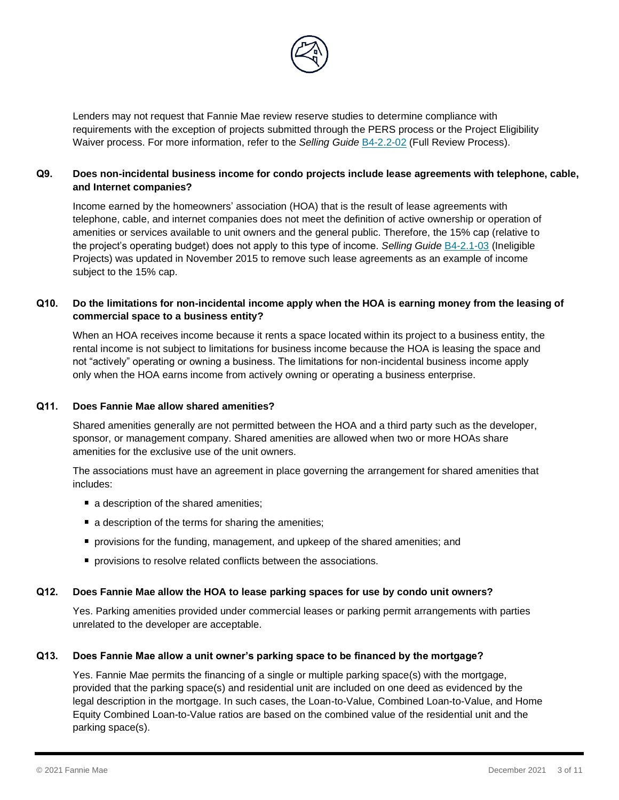

Lenders may not request that Fannie Mae review reserve studies to determine compliance with requirements with the exception of projects submitted through the PERS process or the Project Eligibility Waiver process. For more information, refer to the *Selling Guide* [B4-2.2-02](https://selling-guide.fanniemae.com/Selling-Guide/Origination-thru-Closing/Subpart-B4-Underwriting-Property/Chapter-B4-2-Project-Standards/Section-B4-2-2-Project-Eligibility/1032995701/B4-2-2-02-Full-Review-Process-06-05-2018.htm) (Full Review Process).

## **Q9. Does non-incidental business income for condo projects include lease agreements with telephone, cable, and Internet companies?**

Income earned by the homeowners' association (HOA) that is the result of lease agreements with telephone, cable, and internet companies does not meet the definition of active ownership or operation of amenities or services available to unit owners and the general public. Therefore, the 15% cap (relative to the project's operating budget) does not apply to this type of income. *Selling Guide* [B4-2.1-03](https://selling-guide.fanniemae.com/Selling-Guide/Origination-thru-Closing/Subpart-B4-Underwriting-Property/Chapter-B4-2-Project-Standards/Section-B4-2-1-General-Project-Standards/1032993971/B4-2-1-03-Ineligible-Projects-06-05-2018.htm) (Ineligible Projects) was updated in November 2015 to remove such lease agreements as an example of income subject to the 15% cap.

## **Q10. Do the limitations for non-incidental income apply when the HOA is earning money from the leasing of commercial space to a business entity?**

When an HOA receives income because it rents a space located within its project to a business entity, the rental income is not subject to limitations for business income because the HOA is leasing the space and not "actively" operating or owning a business. The limitations for non-incidental business income apply only when the HOA earns income from actively owning or operating a business enterprise.

#### **Q11. Does Fannie Mae allow shared amenities?**

Shared amenities generally are not permitted between the HOA and a third party such as the developer, sponsor, or management company. Shared amenities are allowed when two or more HOAs share amenities for the exclusive use of the unit owners.

The associations must have an agreement in place governing the arrangement for shared amenities that includes:

- a description of the shared amenities;
- a description of the terms for sharing the amenities;
- **Perovisions for the funding, management, and upkeep of the shared amenities; and**
- **P** provisions to resolve related conflicts between the associations.

#### **Q12. Does Fannie Mae allow the HOA to lease parking spaces for use by condo unit owners?**

Yes. Parking amenities provided under commercial leases or parking permit arrangements with parties unrelated to the developer are acceptable.

#### **Q13. Does Fannie Mae allow a unit owner's parking space to be financed by the mortgage?**

Yes. Fannie Mae permits the financing of a single or multiple parking space(s) with the mortgage, provided that the parking space(s) and residential unit are included on one deed as evidenced by the legal description in the mortgage. In such cases, the Loan-to-Value, Combined Loan-to-Value, and Home Equity Combined Loan-to-Value ratios are based on the combined value of the residential unit and the parking space(s).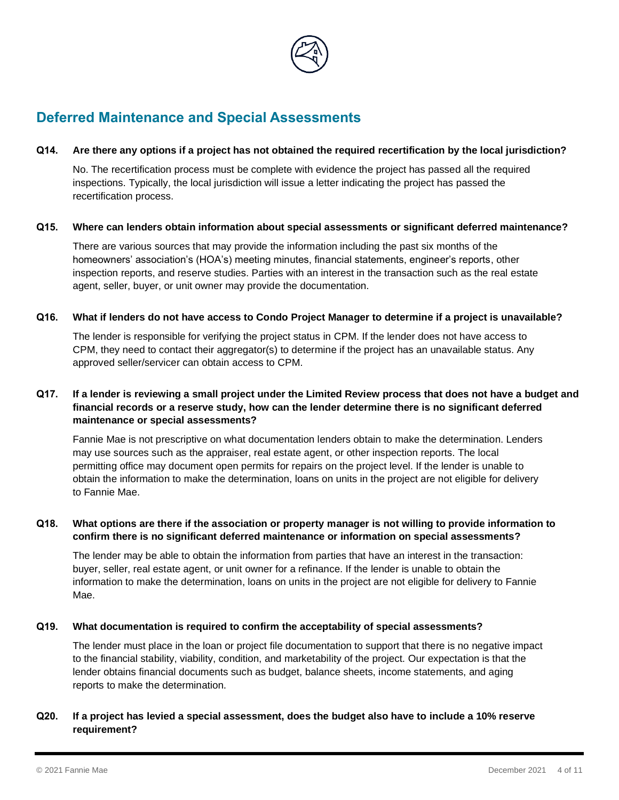

# <span id="page-3-0"></span>**Deferred Maintenance and Special Assessments**

#### **Q14. Are there any options if a project has not obtained the required recertification by the local jurisdiction?**

No. The recertification process must be complete with evidence the project has passed all the required inspections. Typically, the local jurisdiction will issue a letter indicating the project has passed the recertification process.

#### **Q15. Where can lenders obtain information about special assessments or significant deferred maintenance?**

There are various sources that may provide the information including the past six months of the homeowners' association's (HOA's) meeting minutes, financial statements, engineer's reports, other inspection reports, and reserve studies. Parties with an interest in the transaction such as the real estate agent, seller, buyer, or unit owner may provide the documentation.

#### **Q16. What if lenders do not have access to Condo Project Manager to determine if a project is unavailable?**

The lender is responsible for verifying the project status in CPM. If the lender does not have access to CPM, they need to contact their aggregator(s) to determine if the project has an unavailable status. Any approved seller/servicer can obtain access to CPM.

# **Q17. If a lender is reviewing a small project under the Limited Review process that does not have a budget and financial records or a reserve study, how can the lender determine there is no significant deferred maintenance or special assessments?**

Fannie Mae is not prescriptive on what documentation lenders obtain to make the determination. Lenders may use sources such as the appraiser, real estate agent, or other inspection reports. The local permitting office may document open permits for repairs on the project level. If the lender is unable to obtain the information to make the determination, loans on units in the project are not eligible for delivery to Fannie Mae.

## **Q18. What options are there if the association or property manager is not willing to provide information to confirm there is no significant deferred maintenance or information on special assessments?**

The lender may be able to obtain the information from parties that have an interest in the transaction: buyer, seller, real estate agent, or unit owner for a refinance. If the lender is unable to obtain the information to make the determination, loans on units in the project are not eligible for delivery to Fannie Mae.

#### **Q19. What documentation is required to confirm the acceptability of special assessments?**

The lender must place in the loan or project file documentation to support that there is no negative impact to the financial stability, viability, condition, and marketability of the project. Our expectation is that the lender obtains financial documents such as budget, balance sheets, income statements, and aging reports to make the determination.

# **Q20. If a project has levied a special assessment, does the budget also have to include a 10% reserve requirement?**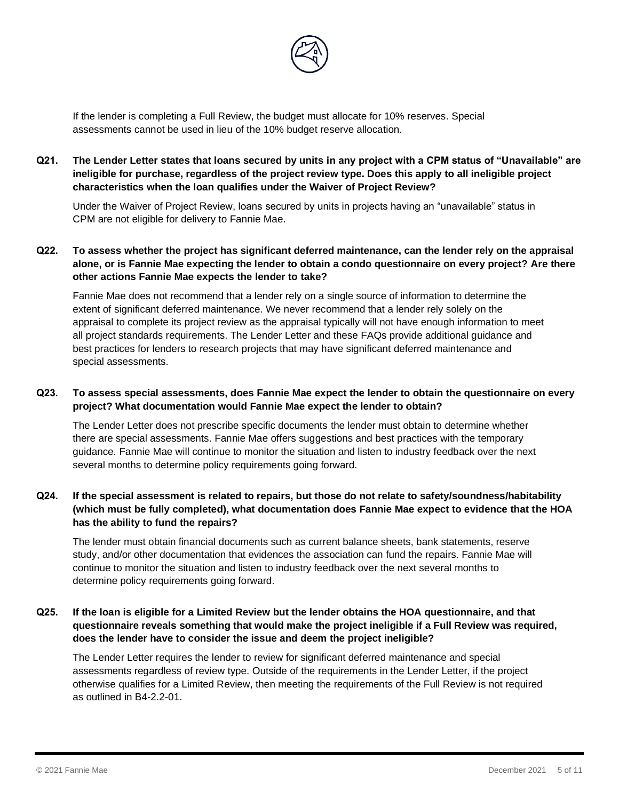

If the lender is completing a Full Review, the budget must allocate for 10% reserves. Special assessments cannot be used in lieu of the 10% budget reserve allocation.

**Q21. The Lender Letter states that loans secured by units in any project with a CPM status of "Unavailable" are ineligible for purchase, regardless of the project review type. Does this apply to all ineligible project characteristics when the loan qualifies under the Waiver of Project Review?** 

Under the Waiver of Project Review, loans secured by units in projects having an "unavailable" status in CPM are not eligible for delivery to Fannie Mae.

**Q22. To assess whether the project has significant deferred maintenance, can the lender rely on the appraisal alone, or is Fannie Mae expecting the lender to obtain a condo questionnaire on every project? Are there other actions Fannie Mae expects the lender to take?** 

Fannie Mae does not recommend that a lender rely on a single source of information to determine the extent of significant deferred maintenance. We never recommend that a lender rely solely on the appraisal to complete its project review as the appraisal typically will not have enough information to meet all project standards requirements. The Lender Letter and these FAQs provide additional guidance and best practices for lenders to research projects that may have significant deferred maintenance and special assessments.

## **Q23. To assess special assessments, does Fannie Mae expect the lender to obtain the questionnaire on every project? What documentation would Fannie Mae expect the lender to obtain?**

The Lender Letter does not prescribe specific documents the lender must obtain to determine whether there are special assessments. Fannie Mae offers suggestions and best practices with the temporary guidance. Fannie Mae will continue to monitor the situation and listen to industry feedback over the next several months to determine policy requirements going forward.

## **Q24. If the special assessment is related to repairs, but those do not relate to safety/soundness/habitability (which must be fully completed), what documentation does Fannie Mae expect to evidence that the HOA has the ability to fund the repairs?**

The lender must obtain financial documents such as current balance sheets, bank statements, reserve study, and/or other documentation that evidences the association can fund the repairs. Fannie Mae will continue to monitor the situation and listen to industry feedback over the next several months to determine policy requirements going forward.

# **Q25. If the loan is eligible for a Limited Review but the lender obtains the HOA questionnaire, and that questionnaire reveals something that would make the project ineligible if a Full Review was required, does the lender have to consider the issue and deem the project ineligible?**

The Lender Letter requires the lender to review for significant deferred maintenance and special assessments regardless of review type. Outside of the requirements in the Lender Letter, if the project otherwise qualifies for a Limited Review, then meeting the requirements of the Full Review is not required as outlined in B4-2.2-01.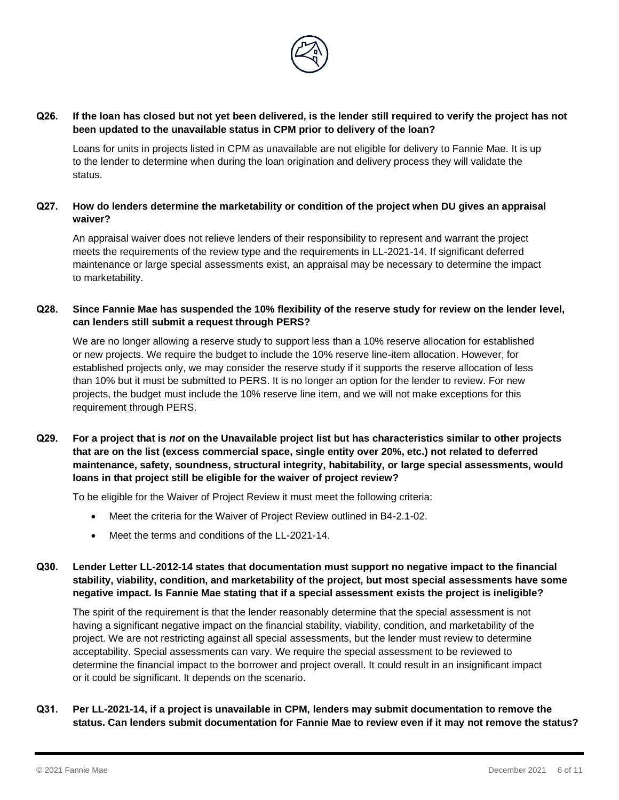

#### **Q26. If the loan has closed but not yet been delivered, is the lender still required to verify the project has not been updated to the unavailable status in CPM prior to delivery of the loan?**

Loans for units in projects listed in CPM as unavailable are not eligible for delivery to Fannie Mae. It is up to the lender to determine when during the loan origination and delivery process they will validate the status.

# **Q27. How do lenders determine the marketability or condition of the project when DU gives an appraisal waiver?**

An appraisal waiver does not relieve lenders of their responsibility to represent and warrant the project meets the requirements of the review type and the requirements in LL-2021-14. If significant deferred maintenance or large special assessments exist, an appraisal may be necessary to determine the impact to marketability.

# **Q28. Since Fannie Mae has suspended the 10% flexibility of the reserve study for review on the lender level, can lenders still submit a request through PERS?**

We are no longer allowing a reserve study to support less than a 10% reserve allocation for established or new projects. We require the budget to include the 10% reserve line-item allocation. However, for established projects only, we may consider the reserve study if it supports the reserve allocation of less than 10% but it must be submitted to PERS. It is no longer an option for the lender to review. For new projects, the budget must include the 10% reserve line item, and we will not make exceptions for this requirement through PERS.

# **Q29. For a project that is** *not* **on the Unavailable project list but has characteristics similar to other projects that are on the list (excess commercial space, single entity over 20%, etc.) not related to deferred maintenance, safety, soundness, structural integrity, habitability, or large special assessments, would loans in that project still be eligible for the waiver of project review?**

To be eligible for the Waiver of Project Review it must meet the following criteria:

- Meet the criteria for the Waiver of Project Review outlined in B4-2.1-02.
- Meet the terms and conditions of the LL-2021-14.

# **Q30. Lender Letter LL-2012-14 states that documentation must support no negative impact to the financial stability, viability, condition, and marketability of the project, but most special assessments have some negative impact. Is Fannie Mae stating that if a special assessment exists the project is ineligible?**

The spirit of the requirement is that the lender reasonably determine that the special assessment is not having a significant negative impact on the financial stability, viability, condition, and marketability of the project. We are not restricting against all special assessments, but the lender must review to determine acceptability. Special assessments can vary. We require the special assessment to be reviewed to determine the financial impact to the borrower and project overall. It could result in an insignificant impact or it could be significant. It depends on the scenario.

## **Q31. Per LL-2021-14, if a project is unavailable in CPM, lenders may submit documentation to remove the status. Can lenders submit documentation for Fannie Mae to review even if it may not remove the status?**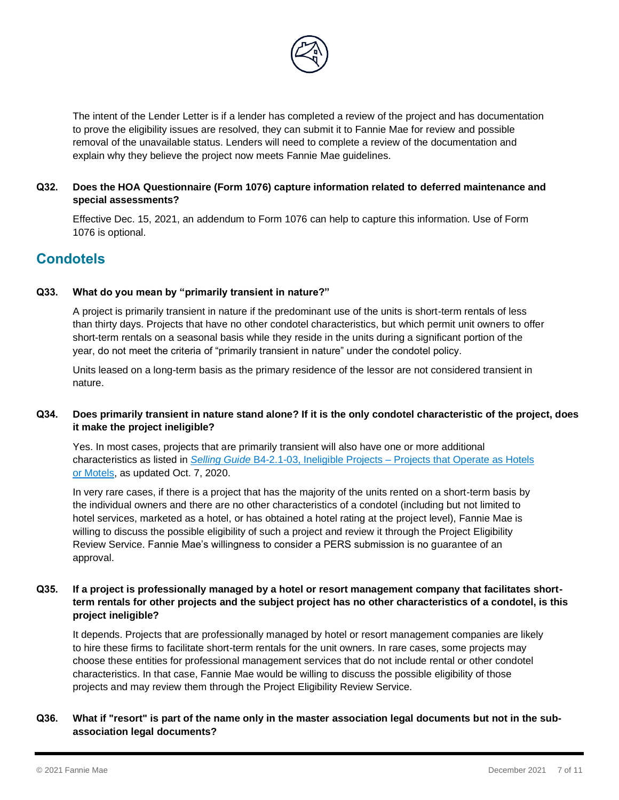

The intent of the Lender Letter is if a lender has completed a review of the project and has documentation to prove the eligibility issues are resolved, they can submit it to Fannie Mae for review and possible removal of the unavailable status. Lenders will need to complete a review of the documentation and explain why they believe the project now meets Fannie Mae guidelines.

# **Q32. Does the HOA Questionnaire (Form 1076) capture information related to deferred maintenance and special assessments?**

Effective Dec. 15, 2021, an addendum to Form 1076 can help to capture this information. Use of Form 1076 is optional.

# <span id="page-6-0"></span>**Condotels**

#### **Q33. What do you mean by "primarily transient in nature?"**

A project is primarily transient in nature if the predominant use of the units is short-term rentals of less than thirty days. Projects that have no other condotel characteristics, but which permit unit owners to offer short-term rentals on a seasonal basis while they reside in the units during a significant portion of the year, do not meet the criteria of "primarily transient in nature" under the condotel policy.

Units leased on a long-term basis as the primary residence of the lessor are not considered transient in nature.

# **Q34. Does primarily transient in nature stand alone? If it is the only condotel characteristic of the project, does it make the project ineligible?**

Yes. In most cases, projects that are primarily transient will also have one or more additional characteristics as listed in *Selling Guide* B4-2.1-03, Ineligible Projects – [Projects that Operate as Hotels](https://selling-guide.fanniemae.com/Selling-Guide/Origination-thru-Closing/Subpart-B4-Underwriting-Property/Chapter-B4-2-Project-Standards/Section-B4-2-1-General-Project-Standards/1032993971/B4-2-1-03-Ineligible-Projects-10-07-2020.htm#Projects.20that.20Operate.20as.20Hotels.20or.20Motels)  [or Motels,](https://selling-guide.fanniemae.com/Selling-Guide/Origination-thru-Closing/Subpart-B4-Underwriting-Property/Chapter-B4-2-Project-Standards/Section-B4-2-1-General-Project-Standards/1032993971/B4-2-1-03-Ineligible-Projects-10-07-2020.htm#Projects.20that.20Operate.20as.20Hotels.20or.20Motels) as updated Oct. 7, 2020.

In very rare cases, if there is a project that has the majority of the units rented on a short-term basis by the individual owners and there are no other characteristics of a condotel (including but not limited to hotel services, marketed as a hotel, or has obtained a hotel rating at the project level), Fannie Mae is willing to discuss the possible eligibility of such a project and review it through the Project Eligibility Review Service. Fannie Mae's willingness to consider a PERS submission is no guarantee of an approval.

## **Q35. If a project is professionally managed by a hotel or resort management company that facilitates shortterm rentals for other projects and the subject project has no other characteristics of a condotel, is this project ineligible?**

It depends. Projects that are professionally managed by hotel or resort management companies are likely to hire these firms to facilitate short-term rentals for the unit owners. In rare cases, some projects may choose these entities for professional management services that do not include rental or other condotel characteristics. In that case, Fannie Mae would be willing to discuss the possible eligibility of those projects and may review them through the Project Eligibility Review Service.

## **Q36. What if "resort" is part of the name only in the master association legal documents but not in the subassociation legal documents?**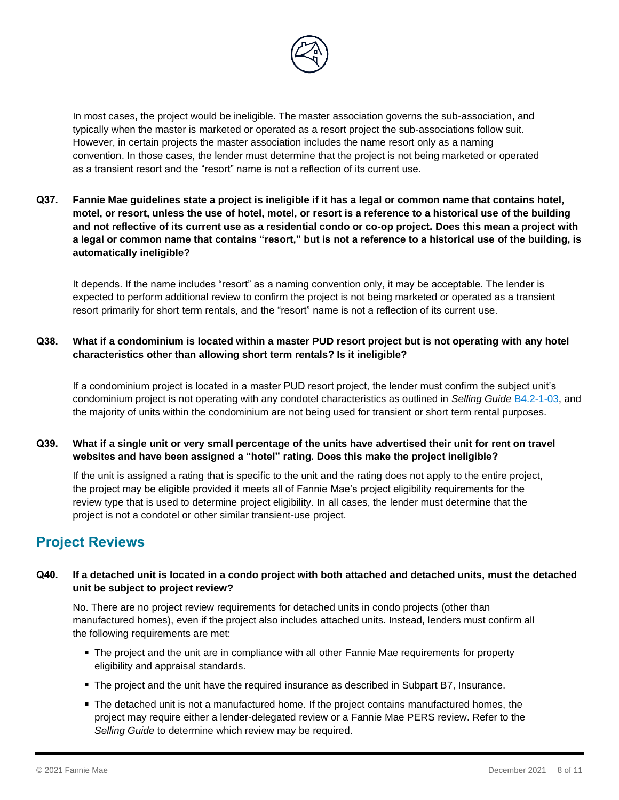

In most cases, the project would be ineligible. The master association governs the sub-association, and typically when the master is marketed or operated as a resort project the sub-associations follow suit. However, in certain projects the master association includes the name resort only as a naming convention. In those cases, the lender must determine that the project is not being marketed or operated as a transient resort and the "resort" name is not a reflection of its current use.

**Q37. Fannie Mae guidelines state a project is ineligible if it has a legal or common name that contains hotel, motel, or resort, unless the use of hotel, motel, or resort is a reference to a historical use of the building and not reflective of its current use as a residential condo or co-op project. Does this mean a project with a legal or common name that contains "resort," but is not a reference to a historical use of the building, is automatically ineligible?**

It depends. If the name includes "resort" as a naming convention only, it may be acceptable. The lender is expected to perform additional review to confirm the project is not being marketed or operated as a transient resort primarily for short term rentals, and the "resort" name is not a reflection of its current use.

# **Q38. What if a condominium is located within a master PUD resort project but is not operating with any hotel characteristics other than allowing short term rentals? Is it ineligible?**

If a condominium project is located in a master PUD resort project, the lender must confirm the subject unit's condominium project is not operating with any condotel characteristics as outlined in *Selling Guide* [B4.2-1-03,](https://selling-guide.fanniemae.com/Selling-Guide/Origination-thru-Closing/Subpart-B4-Underwriting-Property/Chapter-B4-2-Project-Standards/Section-B4-2-1-General-Project-Standards/1032993971/B4-2-1-03-Ineligible-Projects-10-07-2020.htm#Projects.20that.20Operate.20as.20Hotels.20or.20Motels) and the majority of units within the condominium are not being used for transient or short term rental purposes.

# **Q39. What if a single unit or very small percentage of the units have advertised their unit for rent on travel websites and have been assigned a "hotel" rating. Does this make the project ineligible?**

If the unit is assigned a rating that is specific to the unit and the rating does not apply to the entire project, the project may be eligible provided it meets all of Fannie Mae's project eligibility requirements for the review type that is used to determine project eligibility. In all cases, the lender must determine that the project is not a condotel or other similar transient-use project.

# <span id="page-7-0"></span>**Project Reviews**

# **Q40. If a detached unit is located in a condo project with both attached and detached units, must the detached unit be subject to project review?**

No. There are no project review requirements for detached units in condo projects (other than manufactured homes), even if the project also includes attached units. Instead, lenders must confirm all the following requirements are met:

- The project and the unit are in compliance with all other Fannie Mae requirements for property eligibility and appraisal standards.
- The project and the unit have the required insurance as described in Subpart B7, Insurance.
- The detached unit is not a manufactured home. If the project contains manufactured homes, the project may require either a lender-delegated review or a Fannie Mae PERS review. Refer to the *Selling Guide* to determine which review may be required.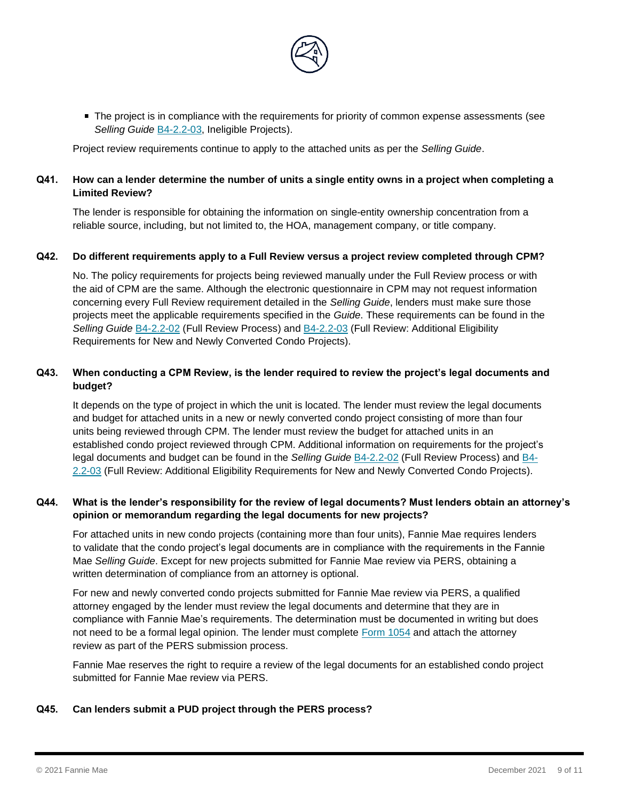

The project is in compliance with the requirements for priority of common expense assessments (see *Selling Guide* [B4-2.2-03,](https://selling-guide.fanniemae.com/Selling-Guide/Origination-thru-Closing/Subpart-B4-Underwriting-Property/Chapter-B4-2-Project-Standards/Section-B4-2-2-Project-Eligibility/1032993851/B4-2-2-03-Full-Review-Additional-Eligibility-Requirements-for-Units-in-New-and-Newly-Converted-Condo-Projects-06-05-2018.htm) Ineligible Projects).

Project review requirements continue to apply to the attached units as per the *Selling Guide*.

### **Q41. How can a lender determine the number of units a single entity owns in a project when completing a Limited Review?**

The lender is responsible for obtaining the information on single-entity ownership concentration from a reliable source, including, but not limited to, the HOA, management company, or title company.

#### **Q42. Do different requirements apply to a Full Review versus a project review completed through CPM?**

No. The policy requirements for projects being reviewed manually under the Full Review process or with the aid of CPM are the same. Although the electronic questionnaire in CPM may not request information concerning every Full Review requirement detailed in the *Selling Guide*, lenders must make sure those projects meet the applicable requirements specified in the *Guide*. These requirements can be found in the *Selling Guide* [B4-2.2-02](https://selling-guide.fanniemae.com/Selling-Guide/Origination-thru-Closing/Subpart-B4-Underwriting-Property/Chapter-B4-2-Project-Standards/Section-B4-2-2-Project-Eligibility/1032995701/B4-2-2-02-Full-Review-Process-06-05-2018.htm) (Full Review Process) and [B4-2.2-03](https://selling-guide.fanniemae.com/Selling-Guide/Origination-thru-Closing/Subpart-B4-Underwriting-Property/Chapter-B4-2-Project-Standards/Section-B4-2-2-Project-Eligibility/1032993851/B4-2-2-03-Full-Review-Additional-Eligibility-Requirements-for-Units-in-New-and-Newly-Converted-Condo-Projects-06-05-2018.htm) (Full Review: Additional Eligibility Requirements for New and Newly Converted Condo Projects).

#### **Q43. When conducting a CPM Review, is the lender required to review the project's legal documents and budget?**

It depends on the type of project in which the unit is located. The lender must review the legal documents and budget for attached units in a new or newly converted condo project consisting of more than four units being reviewed through CPM. The lender must review the budget for attached units in an established condo project reviewed through CPM. Additional information on requirements for the project's legal documents and budget can be found in the *Selling Guide* [B4-2.2-02](https://selling-guide.fanniemae.com/Selling-Guide/Origination-thru-Closing/Subpart-B4-Underwriting-Property/Chapter-B4-2-Project-Standards/Section-B4-2-2-Project-Eligibility/1032995701/B4-2-2-02-Full-Review-Process-06-05-2018.htm) (Full Review Process) and [B4-](https://selling-guide.fanniemae.com/Selling-Guide/Origination-thru-Closing/Subpart-B4-Underwriting-Property/Chapter-B4-2-Project-Standards/Section-B4-2-2-Project-Eligibility/1032993851/B4-2-2-03-Full-Review-Additional-Eligibility-Requirements-for-Units-in-New-and-Newly-Converted-Condo-Projects-06-05-2018.htm) [2.2-03](https://selling-guide.fanniemae.com/Selling-Guide/Origination-thru-Closing/Subpart-B4-Underwriting-Property/Chapter-B4-2-Project-Standards/Section-B4-2-2-Project-Eligibility/1032993851/B4-2-2-03-Full-Review-Additional-Eligibility-Requirements-for-Units-in-New-and-Newly-Converted-Condo-Projects-06-05-2018.htm) (Full Review: Additional Eligibility Requirements for New and Newly Converted Condo Projects).

#### **Q44. What is the lender's responsibility for the review of legal documents? Must lenders obtain an attorney's opinion or memorandum regarding the legal documents for new projects?**

For attached units in new condo projects (containing more than four units), Fannie Mae requires lenders to validate that the condo project's legal documents are in compliance with the requirements in the Fannie Mae *Selling Guide*. Except for new projects submitted for Fannie Mae review via PERS, obtaining a written determination of compliance from an attorney is optional.

For new and newly converted condo projects submitted for Fannie Mae review via PERS, a qualified attorney engaged by the lender must review the legal documents and determine that they are in compliance with Fannie Mae's requirements. The determination must be documented in writing but does not need to be a formal legal opinion. The lender must complete [Form 1054](https://www.fanniemae.com/content/guide_form/1054.pdf) and attach the attorney review as part of the PERS submission process.

Fannie Mae reserves the right to require a review of the legal documents for an established condo project submitted for Fannie Mae review via PERS.

#### **Q45. Can lenders submit a PUD project through the PERS process?**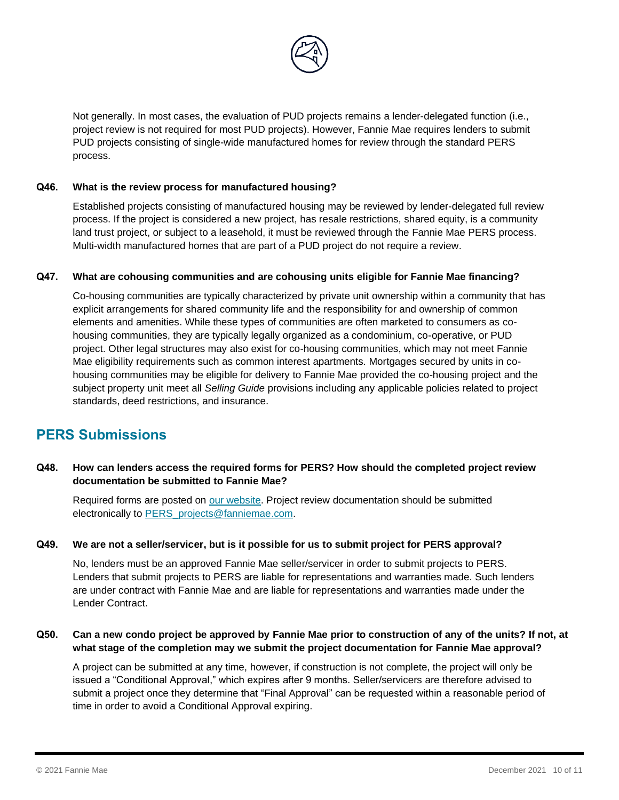

Not generally. In most cases, the evaluation of PUD projects remains a lender-delegated function (i.e., project review is not required for most PUD projects). However, Fannie Mae requires lenders to submit PUD projects consisting of single-wide manufactured homes for review through the standard PERS process.

#### **Q46. What is the review process for manufactured housing?**

Established projects consisting of manufactured housing may be reviewed by lender-delegated full review process. If the project is considered a new project, has resale restrictions, shared equity, is a community land trust project, or subject to a leasehold, it must be reviewed through the Fannie Mae PERS process. Multi-width manufactured homes that are part of a PUD project do not require a review.

#### **Q47. What are cohousing communities and are cohousing units eligible for Fannie Mae financing?**

Co-housing communities are typically characterized by private unit ownership within a community that has explicit arrangements for shared community life and the responsibility for and ownership of common elements and amenities. While these types of communities are often marketed to consumers as cohousing communities, they are typically legally organized as a condominium, co-operative, or PUD project. Other legal structures may also exist for co-housing communities, which may not meet Fannie Mae eligibility requirements such as common interest apartments. Mortgages secured by units in cohousing communities may be eligible for delivery to Fannie Mae provided the co-housing project and the subject property unit meet all *Selling Guide* provisions including any applicable policies related to project standards, deed restrictions, and insurance.

# <span id="page-9-0"></span>**PERS Submissions**

## **Q48. How can lenders access the required forms for PERS? How should the completed project review documentation be submitted to Fannie Mae?**

Required forms are posted on [our website.](https://www.fanniemae.com/singlefamily/selling-servicing-guide-forms?taskId=task-75) Project review documentation should be submitted electronically to [PERS\\_projects@fanniemae.com.](mailto:PERS_projects@fanniemae.com.)

#### **Q49. We are not a seller/servicer, but is it possible for us to submit project for PERS approval?**

No, lenders must be an approved Fannie Mae seller/servicer in order to submit projects to PERS. Lenders that submit projects to PERS are liable for representations and warranties made. Such lenders are under contract with Fannie Mae and are liable for representations and warranties made under the Lender Contract.

#### **Q50. Can a new condo project be approved by Fannie Mae prior to construction of any of the units? If not, at what stage of the completion may we submit the project documentation for Fannie Mae approval?**

A project can be submitted at any time, however, if construction is not complete, the project will only be issued a "Conditional Approval," which expires after 9 months. Seller/servicers are therefore advised to submit a project once they determine that "Final Approval" can be requested within a reasonable period of time in order to avoid a Conditional Approval expiring.